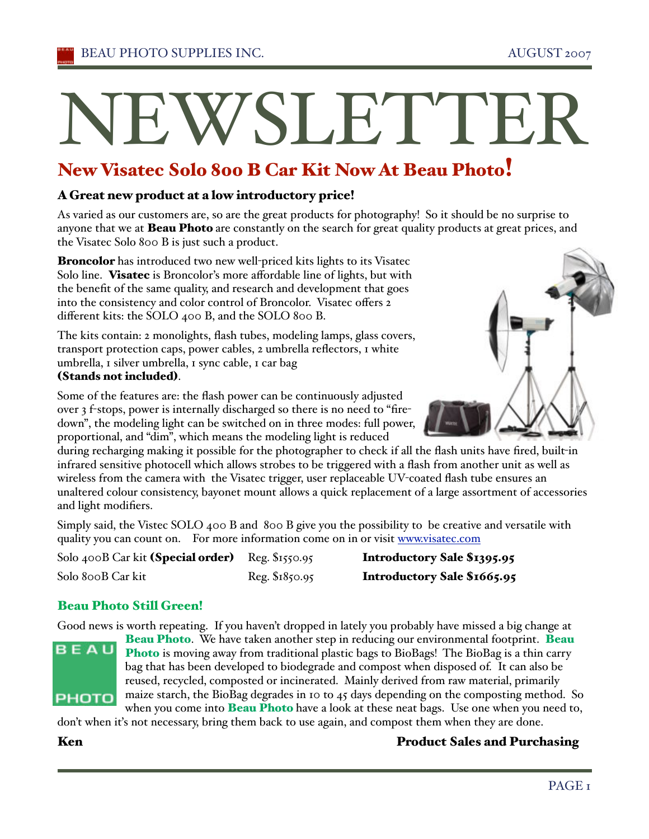# WSLETTE

# New Visatec Solo 800 B Car Kit Now At Beau Photo!

#### A Great new product at a low introductory price!

As varied as our customers are, so are the great products for photography! So it should be no surprise to anyone that we at **Beau Photo** are constantly on the search for great quality products at great prices, and the Visatec Solo 800 B is just such a product.

Broncolor has introduced two new well-priced kits lights to its Visatec Solo line. Visatec is Broncolor's more affordable line of lights, but with the benefit of the same quality, and research and development that goes into the consistency and color control of Broncolor. Visatec offers 2 different kits: the SOLO 400 B, and the SOLO 800 B.

The kits contain: 2 monolights, flash tubes, modeling lamps, glass covers, transport protection caps, power cables, 2 umbrella reflectors, 1 white umbrella, 1 silver umbrella, 1 sync cable, 1 car bag

#### (Stands not included).



Some of the features are: the flash power can be continuously adjusted over 3 f-stops, power is internally discharged so there is no need to "firedown", the modeling light can be switched on in three modes: full power, proportional, and "dim", which means the modeling light is reduced

during recharging making it possible for the photographer to check if all the flash units have fired, built-in infrared sensitive photocell which allows strobes to be triggered with a flash from another unit as well as wireless from the camera with the Visatec trigger, user replaceable UV-coated flash tube ensures an unaltered colour consistency, bayonet mount allows a quick replacement of a large assortment of accessories and light modifiers.

Simply said, the Vistec SOLO 400 B and 800 B give you the possibility to be creative and versatile with quality you can count on. For more information come on in or visit www.visatec.com

| Solo 400B Car kit (Special order) Reg. \$1550.95 |                |
|--------------------------------------------------|----------------|
| Solo 800B Car kit                                | Reg. \$1850.95 |

Introductory Sale \$1395.95 Introductory Sale \$1665.95

#### Beau Photo Still Green!

Good news is worth repeating. If you haven't dropped in lately you probably have missed a big change at



Beau Photo. We have taken another step in reducing our environmental footprint. Beau Photo is moving away from traditional plastic bags to BioBags! The BioBag is a thin carry bag that has been developed to biodegrade and compost when disposed of. It can also be reused, recycled, composted or incinerated. Mainly derived from raw material, primarily maize starch, the BioBag degrades in 10 to 45 days depending on the composting method. So

when you come into **Beau Photo** have a look at these neat bags. Use one when you need to, don't when it's not necessary, bring them back to use again, and compost them when they are done.

#### Ken **Product Sales and Purchasing**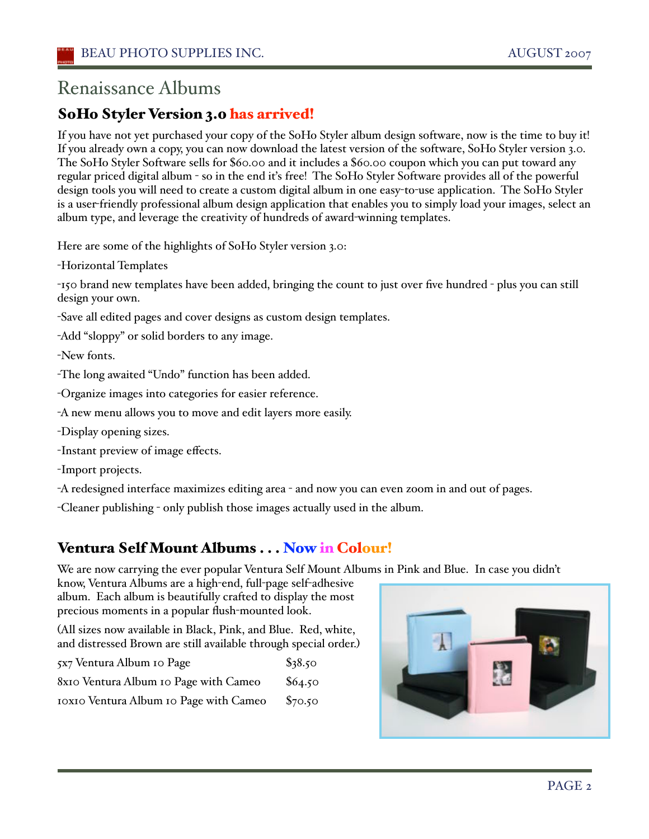# Renaissance Albums

# SoHo Styler Version 3.0 has arrived!

If you have not yet purchased your copy of the SoHo Styler album design software, now is the time to buy it! If you already own a copy, you can now download the latest version of the software, SoHo Styler version 3.0. The SoHo Styler Software sells for \$60.00 and it includes a \$60.00 coupon which you can put toward any regular priced digital album - so in the end iťs free! The SoHo Styler Software provides all of the powerful design tools you will need to create a custom digital album in one easy-to-use application. The SoHo Styler is a user-friendly professional album design application that enables you to simply load your images, select an album type, and leverage the creativity of hundreds of award-winning templates.

Here are some of the highlights of SoHo Styler version 3.0:

-Horizontal Templates

-150 brand new templates have been added, bringing the count to just over five hundred - plus you can still design your own.

-Save all edited pages and cover designs as custom design templates.

-Add "sloppy" or solid borders to any image.

-New fonts.

-The long awaited "Undo" function has been added.

-Organize images into categories for easier reference.

-A new menu allows you to move and edit layers more easily.

-Display opening sizes.

-Instant preview of image effects.

-Import projects.

-A redesigned interface maximizes editing area - and now you can even zoom in and out of pages.

-Cleaner publishing - only publish those images actually used in the album.

## Ventura Self Mount Albums . . . Now in Colour!

We are now carrying the ever popular Ventura Self Mount Albums in Pink and Blue. In case you didn't

know, Ventura Albums are a high-end, full-page self-adhesive album. Each album is beautifully crafted to display the most precious moments in a popular flush-mounted look.

(All sizes now available in Black, Pink, and Blue. Red, white, and distressed Brown are still available through special order.)

| 5x7 Ventura Album 10 Page              | \$38.50 |
|----------------------------------------|---------|
| 8x10 Ventura Album 10 Page with Cameo  | \$64.50 |
| IOXIO Ventura Album IO Page with Cameo | \$70.50 |

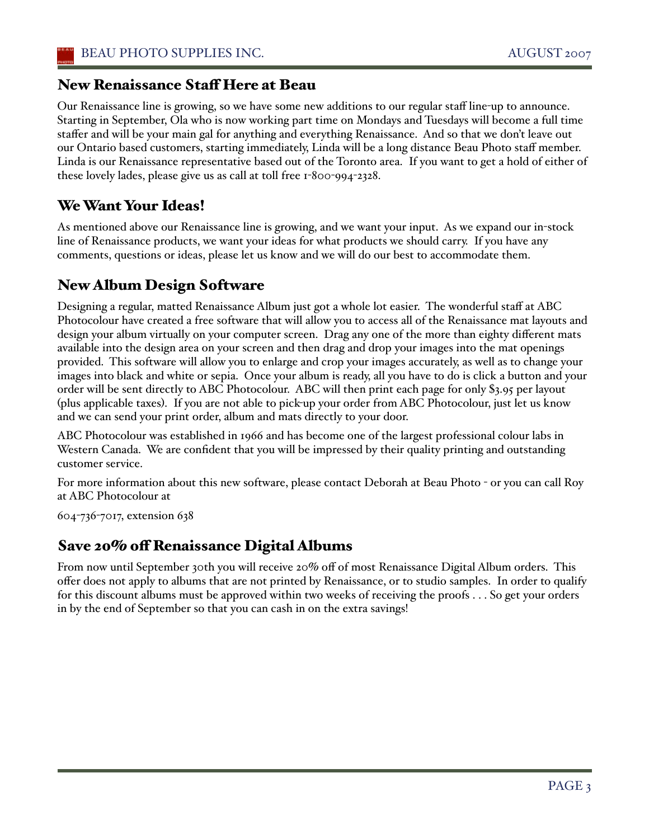#### New Renaissance Staff Here at Beau

Our Renaissance line is growing, so we have some new additions to our regular staff line-up to announce. Starting in September, Ola who is now working part time on Mondays and Tuesdays will become a full time staffer and will be your main gal for anything and everything Renaissance. And so that we don't leave out our Ontario based customers, starting immediately, Linda will be a long distance Beau Photo staff member. Linda is our Renaissance representative based out of the Toronto area. If you want to get a hold of either of these lovely lades, please give us as call at toll free 1-800-994-2328.

## We Want Your Ideas!

As mentioned above our Renaissance line is growing, and we want your input. As we expand our in-stock line of Renaissance products, we want your ideas for what products we should carry. If you have any comments, questions or ideas, please let us know and we will do our best to accommodate them.

## New Album Design Software

Designing a regular, matted Renaissance Album just got a whole lot easier. The wonderful staff at ABC Photocolour have created a free software that will allow you to access all of the Renaissance mat layouts and design your album virtually on your computer screen. Drag any one of the more than eighty different mats available into the design area on your screen and then drag and drop your images into the mat openings provided. This software will allow you to enlarge and crop your images accurately, as well as to change your images into black and white or sepia. Once your album is ready, all you have to do is click a button and your order will be sent directly to ABC Photocolour. ABC will then print each page for only \$3.95 per layout (plus applicable taxes). If you are not able to pick-up your order from ABC Photocolour, just let us know and we can send your print order, album and mats directly to your door.

ABC Photocolour was established in 1966 and has become one of the largest professional colour labs in Western Canada. We are confident that you will be impressed by their quality printing and outstanding customer service.

For more information about this new software, please contact Deborah at Beau Photo - or you can call Roy at ABC Photocolour at

604-736-7017, extension 638

#### Save 20% off Renaissance Digital Albums

From now until September 30th you will receive 20% off of most Renaissance Digital Album orders. This offer does not apply to albums that are not printed by Renaissance, or to studio samples. In order to qualify for this discount albums must be approved within two weeks of receiving the proofs . . . So get your orders in by the end of September so that you can cash in on the extra savings!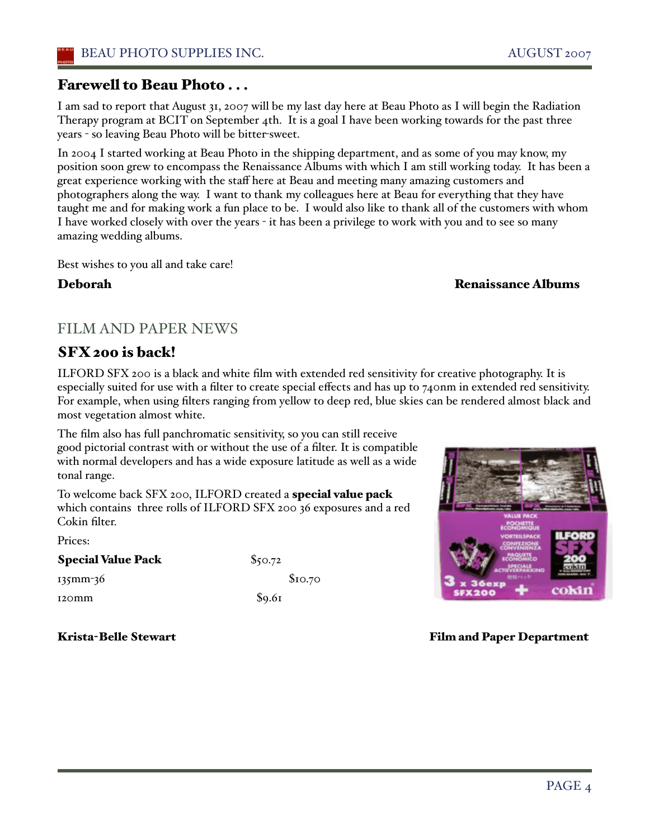#### Farewell to Beau Photo . . .

I am sad to report that August 31, 2007 will be my last day here at Beau Photo as I will begin the Radiation Therapy program at BCIT on September 4th. It is a goal I have been working towards for the past three years - so leaving Beau Photo will be bitter-sweet.

In 2004 I started working at Beau Photo in the shipping department, and as some of you may know, my position soon grew to encompass the Renaissance Albums with which I am still working today. It has been a great experience working with the staff here at Beau and meeting many amazing customers and photographers along the way. I want to thank my colleagues here at Beau for everything that they have taught me and for making work a fun place to be. I would also like to thank all of the customers with whom I have worked closely with over the years - it has been a privilege to work with you and to see so many amazing wedding albums.

Best wishes to you all and take care!

#### Deborah Renaissance Albums

## FILM AND PAPER NEWS

## SFX 200 is back!

ILFORD SFX 200 is a black and white film with extended red sensitivity for creative photography. It is especially suited for use with a filter to create special effects and has up to 740nm in extended red sensitivity. For example, when using filters ranging from yellow to deep red, blue skies can be rendered almost black and most vegetation almost white.

The film also has full panchromatic sensitivity, so you can still receive good pictorial contrast with or without the use of a filter. It is compatible with normal developers and has a wide exposure latitude as well as a wide tonal range.

To welcome back SFX 200, ILFORD created a special value pack which contains three rolls of ILFORD SFX 200 36 exposures and a red Cokin filter.

Prices:

| <b>Special Value Pack</b> | \$50.72            |         |
|---------------------------|--------------------|---------|
| 135mm-36                  |                    | \$10.70 |
| 120 <sub>mm</sub>         | $\mathcal{S}$ 9.61 |         |



Krista-Belle Stewart **Film and Paper Department**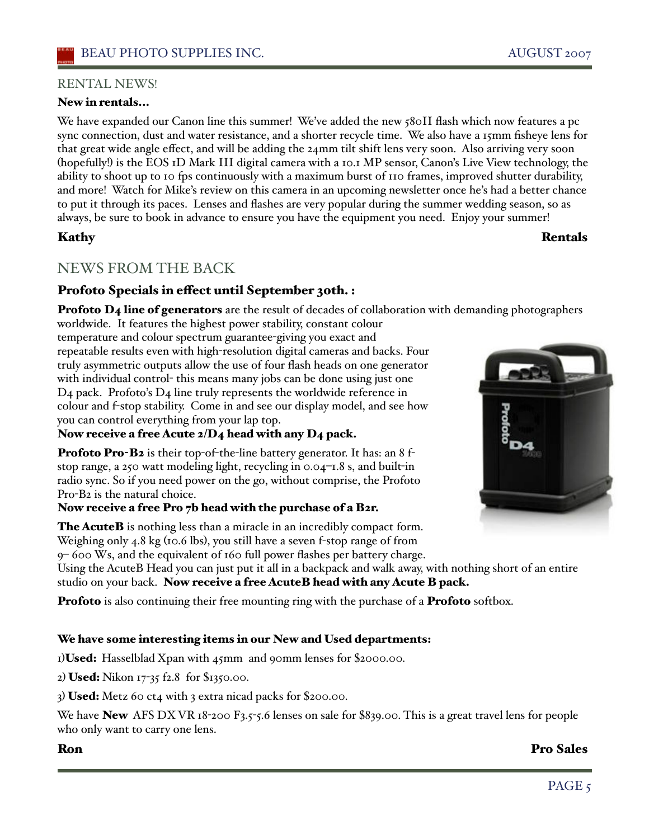#### RENTAL NEWS!

#### New in rentals...

We have expanded our Canon line this summer! We've added the new 580II flash which now features a pc sync connection, dust and water resistance, and a shorter recycle time. We also have a 15mm fisheye lens for that great wide angle effect, and will be adding the 24mm tilt shift lens very soon. Also arriving very soon (hopefully!) is the EOS 1D Mark III digital camera with a 10.1 MP sensor, Canon's Live View technology, the ability to shoot up to 10 fps continuously with a maximum burst of 110 frames, improved shutter durability, and more! Watch for Mike's review on this camera in an upcoming newsletter once he's had a better chance to put it through its paces. Lenses and flashes are very popular during the summer wedding season, so as always, be sure to book in advance to ensure you have the equipment you need. Enjoy your summer!

#### Kathy Rentals

#### NEWS FROM THE BACK

#### Profoto Specials in effect until September 30th. :

**Profoto D4 line of generators** are the result of decades of collaboration with demanding photographers

worldwide. It features the highest power stability, constant colour temperature and colour spectrum guarantee-giving you exact and repeatable results even with high-resolution digital cameras and backs. Four truly asymmetric outputs allow the use of four flash heads on one generator with individual control- this means many jobs can be done using just one D4 pack. Profoto's D4 line truly represents the worldwide reference in colour and f-stop stability. Come in and see our display model, and see how you can control everything from your lap top.

Now receive a free Acute 2/D4 head with any D4 pack.

Profoto Pro-B2 is their top-of-the-line battery generator. It has: an 8 fstop range, a 250 watt modeling light, recycling in 0.04–1.8 s, and built-in radio sync. So if you need power on the go, without comprise, the Profoto Pro-B2 is the natural choice.

#### Now receive a free Pro 7b head with the purchase of a B2r.

The AcuteB is nothing less than a miracle in an incredibly compact form. Weighing only 4.8 kg (10.6 lbs), you still have a seven f-stop range of from 9– 600 Ws, and the equivalent of 160 full power flashes per battery charge.

Using the AcuteB Head you can just put it all in a backpack and walk away, with nothing short of an entire studio on your back. Now receive a free AcuteB head with any Acute B pack.

**Profoto** is also continuing their free mounting ring with the purchase of a **Profoto** softbox.

#### We have some interesting items in our New and Used departments:

1) Used: Hasselblad Xpan with 45mm and 90mm lenses for \$2000.00.

2) Used: Nikon 17-35 f2.8 for \$1350.00.

3) Used: Metz 60 ct4 with 3 extra nicad packs for \$200.00.

We have **New** AFS DX VR 18-200 F3.5-5.6 lenses on sale for \$839.00. This is a great travel lens for people who only want to carry one lens.



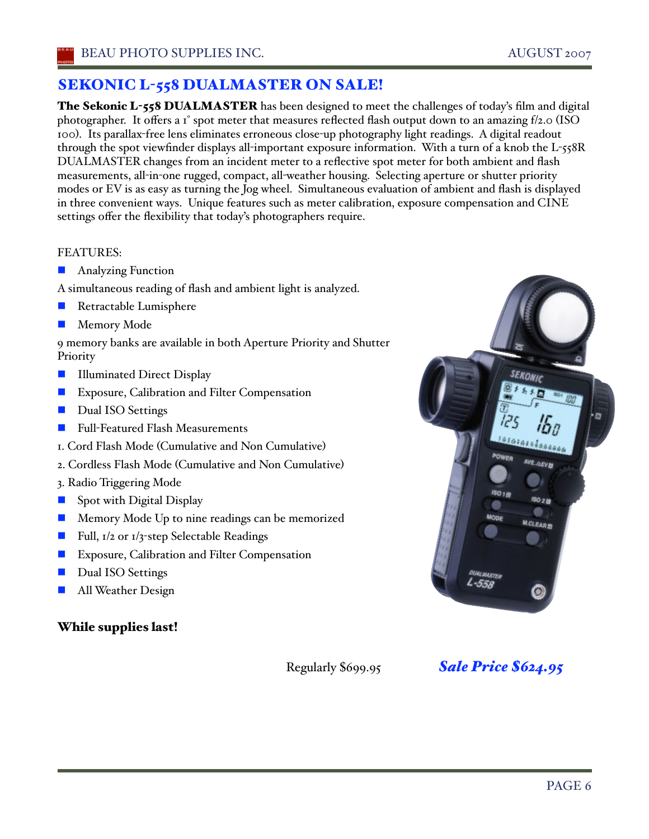## SEKONIC L-558 DUALMASTER ON SALE!

The Sekonic L-558 DUALMASTER has been designed to meet the challenges of today's film and digital photographer. It offers a 1° spot meter that measures reflected flash output down to an amazing f/2.0 (ISO 100). Its parallax-free lens eliminates erroneous close-up photography light readings. A digital readout through the spot viewfinder displays all-important exposure information. With a turn of a knob the L-558R DUALMASTER changes from an incident meter to a reflective spot meter for both ambient and flash measurements, all-in-one rugged, compact, all-weather housing. Selecting aperture or shutter priority modes or EV is as easy as turning the Jog wheel. Simultaneous evaluation of ambient and flash is displayed in three convenient ways. Unique features such as meter calibration, exposure compensation and CINE settings offer the flexibility that today's photographers require.

#### FEATURES:

- **Analyzing Function**
- A simultaneous reading of flash and ambient light is analyzed.
- Retractable Lumisphere
- Memory Mode

9 memory banks are available in both Aperture Priority and Shutter Priority

- **Illuminated Direct Display**
- **EXPOSURE, Calibration and Filter Compensation**
- Dual ISO Settings
- Full-Featured Flash Measurements
- 1. Cord Flash Mode (Cumulative and Non Cumulative)
- 2. Cordless Flash Mode (Cumulative and Non Cumulative)
- 3. Radio Triggering Mode
- Spot with Digital Display
- Memory Mode Up to nine readings can be memorized
- Full,  $I/2$  or  $I/3$ -step Selectable Readings
- Exposure, Calibration and Filter Compensation
- Dual ISO Settings
- All Weather Design

#### While supplies last!

Regularly \$699.95 *Sale Price \$624.95*

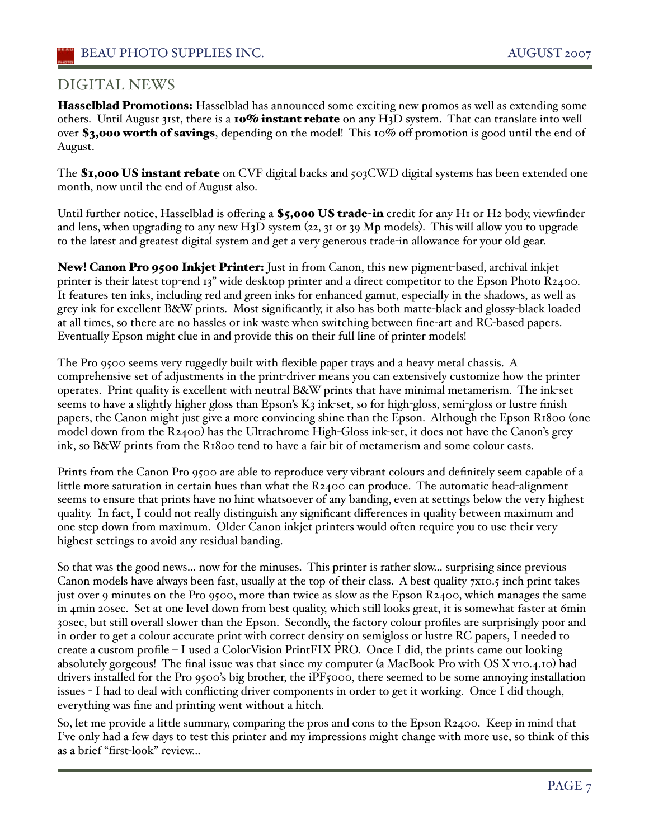#### DIGITAL NEWS

Hasselblad Promotions: Hasselblad has announced some exciting new promos as well as extending some others. Until August 31st, there is a 10% instant rebate on any H3D system. That can translate into well over \$3,000 worth of savings, depending on the model! This 10% off promotion is good until the end of August.

The \$1,000 US instant rebate on CVF digital backs and 503CWD digital systems has been extended one month, now until the end of August also.

Until further notice, Hasselblad is offering a \$5,000 US trade-in credit for any H1 or H2 body, viewfinder and lens, when upgrading to any new H3D system (22, 31 or 39 Mp models). This will allow you to upgrade to the latest and greatest digital system and get a very generous trade-in allowance for your old gear.

New! Canon Pro 9500 Inkjet Printer: Just in from Canon, this new pigment-based, archival inkjet printer is their latest top-end 13" wide desktop printer and a direct competitor to the Epson Photo R2400. It features ten inks, including red and green inks for enhanced gamut, especially in the shadows, as well as grey ink for excellent B&W prints. Most significantly, it also has both matte-black and glossy-black loaded at all times, so there are no hassles or ink waste when switching between fine-art and RC-based papers. Eventually Epson might clue in and provide this on their full line of printer models!

The Pro 9500 seems very ruggedly built with flexible paper trays and a heavy metal chassis. A comprehensive set of adjustments in the print-driver means you can extensively customize how the printer operates. Print quality is excellent with neutral B&W prints that have minimal metamerism. The ink-set seems to have a slightly higher gloss than Epson's K3 ink-set, so for high-gloss, semi-gloss or lustre finish papers, the Canon might just give a more convincing shine than the Epson. Although the Epson R1800 (one model down from the R2400) has the Ultrachrome High-Gloss ink-set, it does not have the Canon's grey ink, so B&W prints from the R1800 tend to have a fair bit of metamerism and some colour casts.

Prints from the Canon Pro 9500 are able to reproduce very vibrant colours and definitely seem capable of a little more saturation in certain hues than what the R2400 can produce. The automatic head-alignment seems to ensure that prints have no hint whatsoever of any banding, even at settings below the very highest quality. In fact, I could not really distinguish any significant differences in quality between maximum and one step down from maximum. Older Canon inkjet printers would often require you to use their very highest settings to avoid any residual banding.

So that was the good news… now for the minuses. This printer is rather slow… surprising since previous Canon models have always been fast, usually at the top of their class. A best quality 7x10.5 inch print takes just over 9 minutes on the Pro 9500, more than twice as slow as the Epson R2400, which manages the same in 4min 20sec. Set at one level down from best quality, which still looks great, it is somewhat faster at 6min 30sec, but still overall slower than the Epson. Secondly, the factory colour profiles are surprisingly poor and in order to get a colour accurate print with correct density on semigloss or lustre RC papers, I needed to create a custom profile – I used a ColorVision PrintFIX PRO. Once I did, the prints came out looking absolutely gorgeous! The final issue was that since my computer (a MacBook Pro with OS X v10.4.10) had drivers installed for the Pro 9500's big brother, the iPF5000, there seemed to be some annoying installation issues - I had to deal with conflicting driver components in order to get it working. Once I did though, everything was fine and printing went without a hitch.

So, let me provide a little summary, comparing the pros and cons to the Epson R2400. Keep in mind that I've only had a few days to test this printer and my impressions might change with more use, so think of this as a brief "first-look" review…